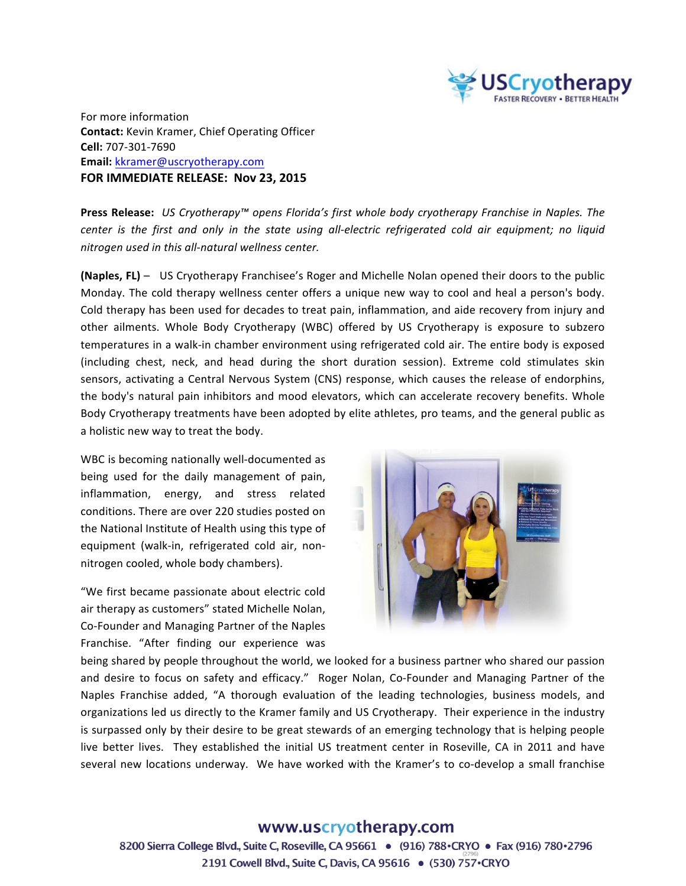

For more information **Contact:** Kevin Kramer, Chief Operating Officer **Cell:** 707-301-7690 **Email:** kkramer@uscryotherapy.com **FOR IMMEDIATE RELEASE: Nov 23, 2015** 

**Press Release:** *US Cryotherapy™* opens Florida's first whole body cryotherapy Franchise in Naples. The *center* is the first and only in the state using all-electric refrigerated cold air equipment; no liquid *nitrogen used in this all-natural wellness center.*

**(Naples, FL)** – US Cryotherapy Franchisee's Roger and Michelle Nolan opened their doors to the public Monday. The cold therapy wellness center offers a unique new way to cool and heal a person's body. Cold therapy has been used for decades to treat pain, inflammation, and aide recovery from injury and other ailments. Whole Body Cryotherapy (WBC) offered by US Cryotherapy is exposure to subzero temperatures in a walk-in chamber environment using refrigerated cold air. The entire body is exposed (including chest, neck, and head during the short duration session). Extreme cold stimulates skin sensors, activating a Central Nervous System (CNS) response, which causes the release of endorphins, the body's natural pain inhibitors and mood elevators, which can accelerate recovery benefits. Whole Body Cryotherapy treatments have been adopted by elite athletes, pro teams, and the general public as a holistic new way to treat the body.

WBC is becoming nationally well-documented as being used for the daily management of pain, inflammation, energy, and stress related conditions. There are over 220 studies posted on the National Institute of Health using this type of equipment (walk-in, refrigerated cold air, nonnitrogen cooled, whole body chambers).

"We first became passionate about electric cold air therapy as customers" stated Michelle Nolan, Co-Founder and Managing Partner of the Naples Franchise. "After finding our experience was



being shared by people throughout the world, we looked for a business partner who shared our passion and desire to focus on safety and efficacy." Roger Nolan, Co-Founder and Managing Partner of the Naples Franchise added, "A thorough evaluation of the leading technologies, business models, and organizations led us directly to the Kramer family and US Cryotherapy. Their experience in the industry is surpassed only by their desire to be great stewards of an emerging technology that is helping people live better lives. They established the initial US treatment center in Roseville, CA in 2011 and have several new locations underway. We have worked with the Kramer's to co-develop a small franchise

## www.uscryotherapy.com

8200 Sierra College Blvd., Suite C, Roseville, CA 95661 . (916) 788 CRYO . Fax (916) 780 · 2796 2191 Cowell Blvd., Suite C, Davis, CA 95616 . (530) 757 · CRYO